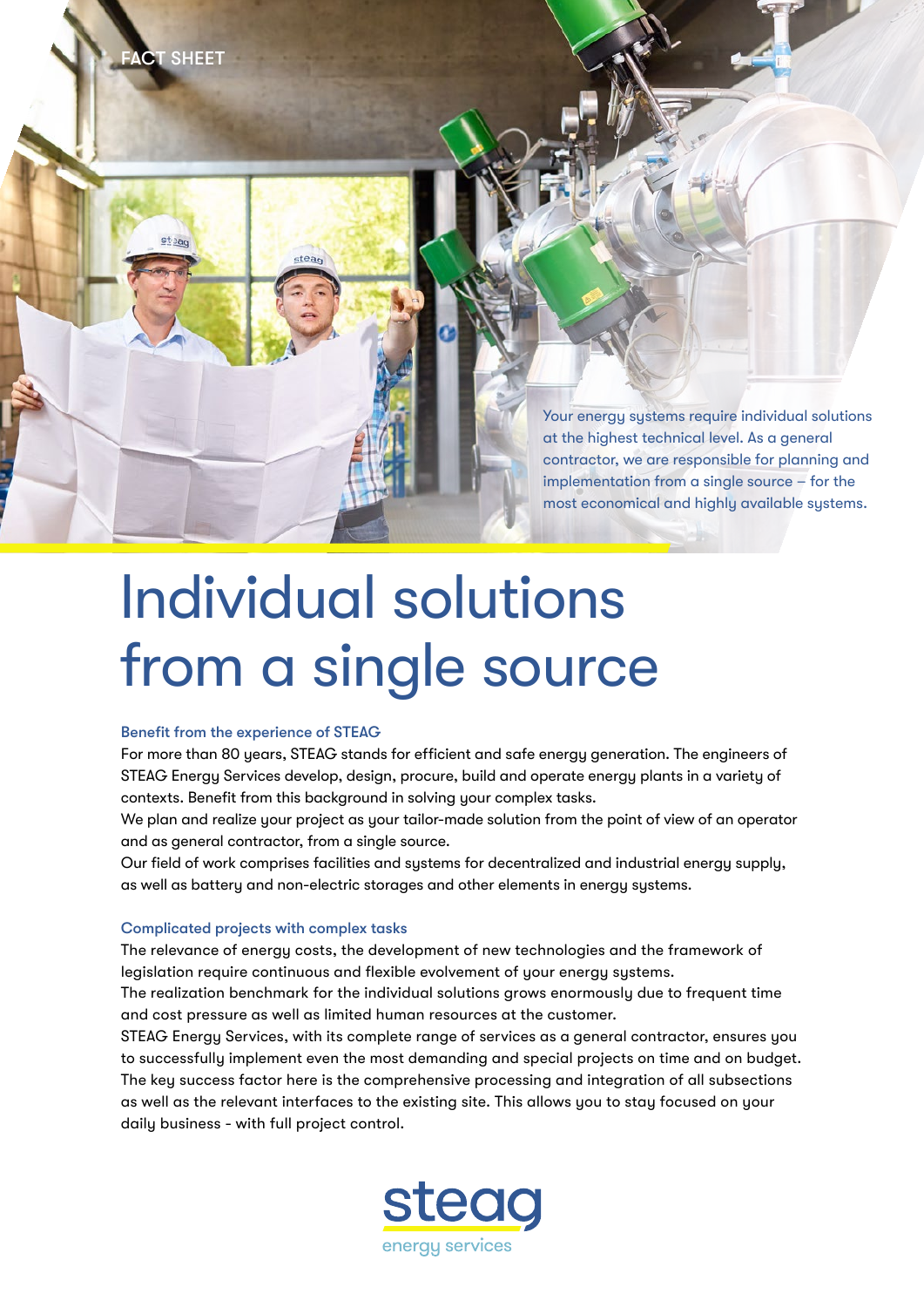

# Individual solutions from a single source

### Benefit from the experience of STEAG

stea.

**FACT SHEET** 

For more than 80 years, STEAG stands for efficient and safe energy generation. The engineers of STEAG Energy Services develop, design, procure, build and operate energy plants in a variety of contexts. Benefit from this background in solving your complex tasks.

We plan and realize your project as your tailor-made solution from the point of view of an operator and as general contractor, from a single source.

Our field of work comprises facilities and systems for decentralized and industrial energy supply, as well as battery and non-electric storages and other elements in energy systems.

## Complicated projects with complex tasks

The relevance of energy costs, the development of new technologies and the framework of legislation require continuous and flexible evolvement of your energy systems.

The realization benchmark for the individual solutions grows enormously due to frequent time and cost pressure as well as limited human resources at the customer.

STEAG Energy Services, with its complete range of services as a general contractor, ensures you to successfully implement even the most demanding and special projects on time and on budget. The key success factor here is the comprehensive processing and integration of all subsections as well as the relevant interfaces to the existing site. This allows you to stay focused on your daily business - with full project control.